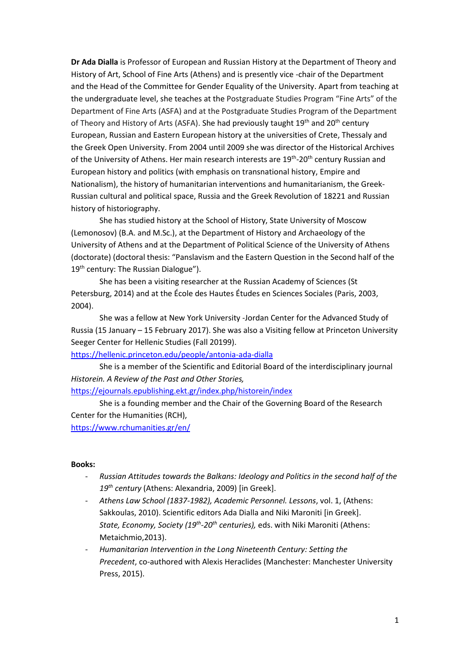**Dr Ada Dialla** is Professor of European and Russian History at the Department of Theory and History of Art, School of Fine Arts (Athens) and is presently vice -chair of the Department and the Head of the Committee for Gender Equality of the University. Apart from teaching at the undergraduate level, she teaches at the Postgraduate Studies Program "Fine Arts" of the Department of Fine Arts (ASFA) and at the Postgraduate Studies Program of the Department of Theory and History of Arts (ASFA). She had previously taught  $19<sup>th</sup>$  and  $20<sup>th</sup>$  century European, Russian and Eastern European history at the universities of Crete, Thessaly and the Greek Open University. From 2004 until 2009 she was director of the Historical Archives of the University of Athens. Her main research interests are 19<sup>th</sup>-20<sup>th</sup> century Russian and European history and politics (with emphasis on transnational history, Empire and Nationalism), the history of humanitarian interventions and humanitarianism, the Greek-Russian cultural and political space, Russia and the Greek Revolution of 18221 and Russian history of historiography.

She has studied history at the School of History, State University of Moscow (Lemonosov) (B.A. and M.Sc.), at the Department of History and Archaeology of the University of Athens and at the Department of Political Science of the University of Athens (doctorate) (doctoral thesis: "Panslavism and the Eastern Question in the Second half of the 19<sup>th</sup> century: The Russian Dialogue").

She has been a visiting researcher at the Russian Academy of Sciences (St Petersburg, 2014) and at the École des Hautes Études en Sciences Sociales (Paris, 2003, 2004).

She was a fellow at New York University -Jordan Center for the Advanced Study of Russia (15 January – 15 February 2017). She was also a Visiting fellow at Princeton University Seeger Center for Hellenic Studies (Fall 20199).

<https://hellenic.princeton.edu/people/antonia-ada-dialla>

She is a member of the Scientific and Editorial Board of the interdisciplinary journal *Historein. A Review of the Past and Other Stories,* 

### <https://ejournals.epublishing.ekt.gr/index.php/historein/index>

She is a founding member and the Chair of the Governing Board of the Research Center for the Humanities (RCH),

<https://www.rchumanities.gr/en/>

#### **Books:**

- *Russian Attitudes towards the Balkans: Ideology and Politics in the second half of the 19th century* (Athens: Alexandria, 2009) [in Greek].
- *Athens Law School (1837-1982), Academic Personnel. Lessons*, vol. 1, (Athens: Sakkoulas, 2010). Scientific editors Ada Dialla and Niki Maroniti [in Greek]. *State, Economy, Society (19th -20th centuries),* eds. with Niki Maroniti (Athens: Metaichmio,2013).
- *Humanitarian Intervention in the Long Nineteenth Century: Setting the Precedent*, co-authored with Alexis Heraclides (Manchester: Manchester University Press, 2015).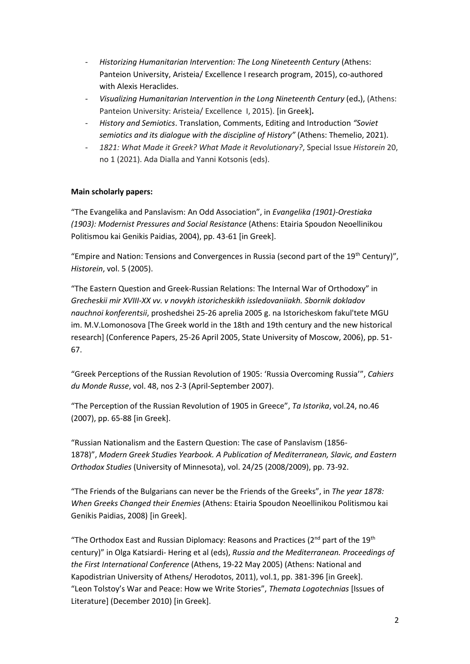- *Historizing Humanitarian Intervention: The Long Nineteenth Century* (Athens: Panteion University, Aristeia/ Excellence Ι research program, 2015), co-authored with Alexis Heraclides.
- *Visualizing Humanitarian Intervention in the Long Nineteenth Century* (ed**.**), (Athens: Panteion University: Aristeia/ Excellence Ι, 2015). [in Greek]**.**
- *History and Semiotics*. Translation, Comments, Editing and Introduction *"Soviet semiotics and its dialogue with the discipline of History"* (Athens: Themelio, 2021).
- *1821: What Made it Greek? What Made it Revolutionary?*, Special Issue *Historein* 20, no 1 (2021). Ada Dialla and Yanni Kotsonis (eds).

# **Main scholarly papers:**

"The Evangelika and Panslavism: An Odd Association", in *Evangelika (1901)-Orestiaka (1903): Modernist Pressures and Social Resistance* (Athens: Etairia Spoudon Neoellinikou Politismou kai Genikis Paidias, 2004), pp. 43-61 [in Greek].

"Empire and Nation: Tensions and Convergences in Russia (second part of the 19<sup>th</sup> Century)", *Historein*, vol. 5 (2005).

"The Eastern Question and Greek-Russian Relations: The Internal War of Orthodoxy" in *Grecheskii mir XVIII-XX vv. v novykh istoricheskikh issledovaniiakh. Sbornik dokladov nauchnoi konferentsii*, proshedshei 25-26 aprelia 2005 g. na Istoricheskom fakul'tete MGU im. M.V.Lomonosova [The Greek world in the 18th and 19th century and the new historical research] (Conference Papers, 25-26 April 2005, State University of Moscow, 2006), pp. 51- 67.

"Greek Perceptions of the Russian Revolution of 1905: 'Russia Overcoming Russia'", *Cahiers du Monde Russe*, vol. 48, nos 2-3 (April-September 2007).

"The Perception of the Russian Revolution of 1905 in Greece", *Ta Istorika*, vol.24, no.46 (2007), pp. 65-88 [in Greek].

"Russian Nationalism and the Eastern Question: Τhe case of Panslavism (1856- 1878)", *Modern Greek Studies Yearbook. A Publication of Mediterranean, Slavic, and Eastern Orthodox Studies* (University of Minnesota), vol. 24/25 (2008/2009), pp. 73-92.

"The Friends of the Bulgarians can never be the Friends of the Greeks", in *The year 1878: When Greeks Changed their Enemies* (Athens: Etairia Spoudon Neoellinikou Politismou kai Genikis Paidias, 2008) [in Greek].

"The Orthodox East and Russian Diplomacy: Reasons and Practices ( $2^{nd}$  part of the  $19^{th}$ century)" in Olga Katsiardi- Hering et al (eds), *Russia and the Mediterranean. Proceedings of the First International Conference* (Athens, 19-22 May 2005) (Athens: National and Kapodistrian University of Athens/ Herodotos, 2011), vol.1, pp. 381-396 [in Greek]. "Leon Tolstoy's War and Peace: How we Write Stories", *Themata Logotechnias* [Issues of Literature] (December 2010) [in Greek].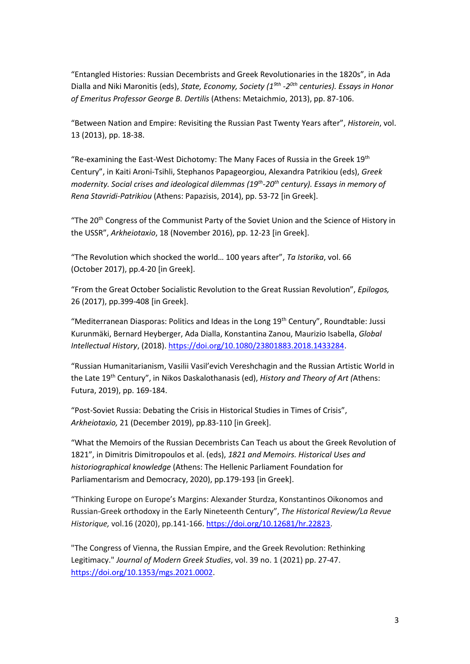"Entangled Histories: Russian Decembrists and Greek Revolutionaries in the 1820s", in Ada Dialla and Niki Maronitis (eds), *State, Economy, Society (19th -2 0th centuries). Essays in Honor of Emeritus Professor George B. Dertilis* (Athens: Metaichmio, 2013), pp. 87-106.

"Between Nation and Empire: Revisiting the Russian Past Twenty Years after", *Historein*, vol. 13 (2013), pp. 18-38.

"Re-examining the East-West Dichotomy: The Many Faces of Russia in the Greek 19th Century", in Kaiti Aroni-Tsihli, Stephanos Papageorgiou, Alexandra Patrikiou (eds), *Greek modernity. Social crises and ideological dilemmas (19th -20th century). Essays in memory of Rena Stavridi-Patrikiou* (Athens: Papazisis, 2014), pp. 53-72 [in Greek].

"The 20<sup>th</sup> Congress of the Communist Party of the Soviet Union and the Science of History in the USSR", *Arkheiotaxio*, 18 (November 2016), pp. 12-23 [in Greek].

"The Revolution which shocked the world… 100 years after", *Ta Istorika*, vol. 66 (October 2017), pp.4-20 [in Greek].

"From the Great October Socialistic Revolution to the Great Russian Revolution", *Epilogos,* 26 (2017), pp.399-408 [in Greek].

"Mediterranean Diasporas: Politics and Ideas in the Long 19<sup>th</sup> Century", Roundtable: Jussi Kurunmäki, Bernard Heyberger, Ada Dialla, Konstantina Zanou, Maurizio Isabella, *Global Intellectual History*, (2018)[. https://doi.org/10.1080/23801883.2018.1433284.](https://doi.org/10.1080/23801883.2018.1433284)

"Russian Humanitarianism, Vasilii Vasil'evich Vereshchagin and the Russian Artistic World in the Late 19th Century", in Nikos Daskalothanasis (ed), *History and Theory of Art (*Athens: Futura, 2019), pp. 169-184.

"Post-Soviet Russia: Debating the Crisis in Historical Studies in Times of Crisis", *Αrkheiotaxio,* 21 (December 2019), pp.83-110 [in Greek].

"What the Memoirs of the Russian Decembrists Can Teach us about the Greek Revolution of 1821", in Dimitris Dimitropoulos et al. (eds), *1821 and Memoirs. Historical Uses and historiographical knowledge* (Athens: The Hellenic Parliament Foundation for Parliamentarism and Democracy, 2020), pp.179-193 [in Greek].

"Thinking Europe on Europe's Margins: Alexander Sturdza, Konstantinos Oikonomos and Russian-Greek orthodoxy in the Early Nineteenth Century", *The Historical Review/La Revue Historique,* vol.16 (2020), pp.141-166. [https://doi.org/10.12681/hr.22823.](https://doi.org/10.12681/hr.22823)

"The Congress of Vienna, the Russian Empire, and the Greek Revolution: Rethinking Legitimacy." *Journal of Modern Greek Studies*, vol. 39 no. 1 (2021) pp. 27-47. [https://doi.org/10.1353/mgs.2021.0002.](http://doi.org/10.1353/mgs.2021.0002)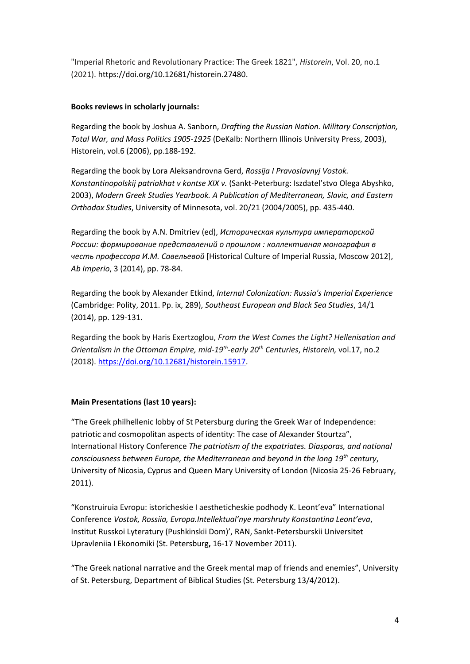"Imperial Rhetoric and Revolutionary Practice: The Greek 1821", *Historein*, Vol. 20, no.1 (2021). [https://doi.org/10.12681/historein.27480.](https://doi.org/10.12681/historein.27480)

# **Books reviews in scholarly journals:**

Regarding the book by Joshua A. Sanborn, *Drafting the Russian Nation. Military Conscription, Total War, and Mass Politics 1905-1925* (DeKalb: Northern Illinois University Press, 2003), Historein, vol.6 (2006), pp.188-192.

Regarding the book by Lora Aleksandrovna Gerd, *Rossija I Pravoslavnyj Vostok. Konstantinopolskij patriakhat v kontse XIX v.* (Sankt-Peterburg: Iszdatel'stvo Olega Abyshko, 2003), *Modern Greek Studies Yearbook. A Publication of Mediterranean, Slavic, and Eastern Orthodox Studies*, University of Minnesota, vol. 20/21 (2004/2005), pp. 435-440.

Regarding the book by A.N. Dmitriev (ed), *Историческая культура императорской России: формирование представлений о прошлом : коллективная монография в честь профессора И.М. Савельевой* [Historical Culture of Imperial Russia, Moscow 2012], *Ab Imperio*, 3 (2014), pp. 78-84.

Regarding the book by Alexander Etkind, *Internal Colonization: Russia's Imperial Experience* (Cambridge: Polity, 2011. Pp. ix, 289), *Southeast European and Black Sea Studies*, 14/1 (2014), pp. 129-131.

Regarding the book by Haris Exertzoglou, *From the West Comes the Light? Hellenisation and Orientalism in the Ottoman Empire, mid-19th -early 20th Centuries*, *Historein,* vol.17, no.2 (2018). [https://doi.org/10.12681/historein.15917.](https://doi.org/10.12681/historein.15917)

# **Main Presentations (last 10 years):**

"The Greek philhellenic lobby of St Petersburg during the Greek War of Independence: patriotic and cosmopolitan aspects of identity: The case of Alexander Stourtza", International History Conference *The patriotism of the expatriates. Diasporas, and national consciousness between Europe, the Mediterranean and beyond in the long 19th century*, University of Nicosia, Cyprus and Queen Mary University of London (Nicosia 25-26 February, 2011).

"Konstruiruia Evropu: istoricheskie I aestheticheskie podhody K. Leont'eva" International Conference *Vostok, Rossiia, Evropa.Intellektual'nye marshruty Konstantina Leont'eva*, Institut Russkoi Lyteratury (Pushkinskii Dom)', RAN, Sankt-Petersburskii Universitet Upravleniia I Ekonomiki (St. Petersburg**,** 16-17 November 2011).

"The Greek national narrative and the Greek mental map of friends and enemies", University of St. Petersburg, Department of Biblical Studies (St. Petersburg 13/4/2012).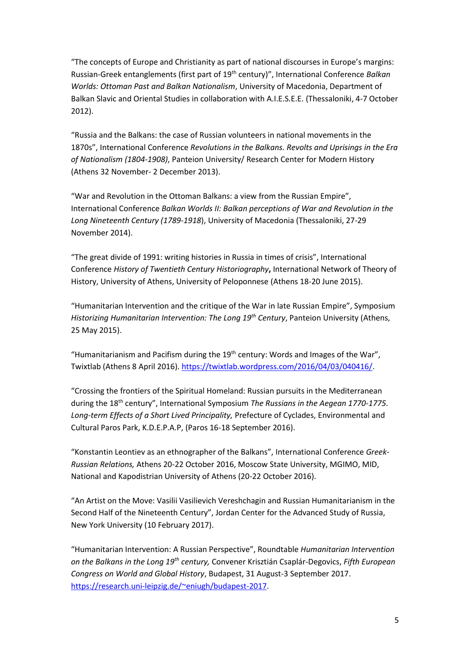"The concepts of Europe and Christianity as part of national discourses in Europe's margins: Russian-Greek entanglements (first part of 19th century)", International Conference *Balkan Worlds: Ottoman Past and Balkan Nationalism*, University of Macedonia, Department of Balkan Slavic and Oriental Studies in collaboration with A.I.E.S.E.E. (Thessaloniki, 4-7 October 2012).

"Russia and the Balkans: the case of Russian volunteers in national movements in the 1870s", International Conference *Revolutions in the Balkans. Revolts and Uprisings in the Era of Nationalism (1804-1908)*, Panteion University/ Research Center for Modern History (Athens 32 November- 2 December 2013).

"War and Revolution in the Ottoman Balkans: a view from the Russian Empire", International Conference *Balkan Worlds ΙΙ: Balkan perceptions of War and Revolution in the Long Nineteenth Century (1789-1918*), University of Macedonia (Thessaloniki, 27-29 November 2014).

"The great divide of 1991: writing histories in Russia in times of crisis", International Conference *History of Twentieth Century Historiography***,** International Network of Theory of History, University of Athens, University of Peloponnese (Athens 18-20 June 2015).

"Humanitarian Intervention and the critique of the War in late Russian Empire", Symposium *Historizing Humanitarian Intervention: The Long 19th Century*, Panteion University (Athens, 25 May 2015).

"Humanitarianism and Pacifism during the  $19<sup>th</sup>$  century: Words and Images of the War", Twixtlab (Athens 8 April 2016). [https://twixtlab.wordpress.com/2016/04/03/040416/.](https://twixtlab.wordpress.com/2016/04/03/040416/)

"Crossing the frontiers of the Spiritual Homeland: Russian pursuits in the Mediterranean during the 18th century", International Symposium *The Russians in the Aegean 1770-1775. Long-term Effects of a Short Lived Principality,* Prefecture of Cyclades, Environmental and Cultural Paros Park, K.D.E.P.A.P, (Paros 16-18 September 2016).

"Konstantin Leontiev as an ethnographer of the Balkans", International Conference *Greek-Russian Relations,* Athens 20-22 October 2016, Moscow State University, MGIMO, MID, National and Kapodistrian University of Athens (20-22 October 2016).

"An Artist on the Move: Vasilii Vasilievich Vereshchagin and Russian Humanitarianism in the Second Half of the Nineteenth Century", Jordan Center for the Advanced Study of Russia, New York University (10 February 2017).

"Humanitarian Intervention: A Russian Perspective", Roundtable *Humanitarian Intervention on the Balkans in the Long 19th century,* Convener Krisztián Csaplár-Degovics, *Fifth European Congress on World and Global History*, Budapest, 31 August-3 September 2017. [https://research.uni-leipzig.de/~eniugh/budapest-2017.](https://research.uni-leipzig.de/~eniugh/budapest-2017)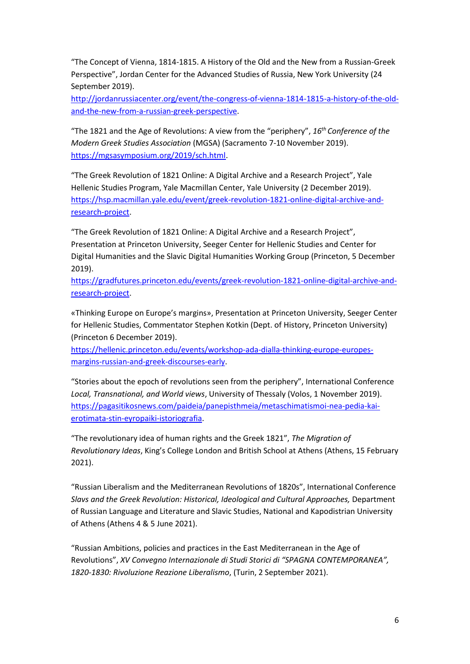"The Concept of Vienna, 1814-1815. A History of the Old and the New from a Russian-Greek Perspective", Jordan Center for the Advanced Studies of Russia, New York University (24 September 2019).

[http://jordanrussiacenter.org/event/the-congress-of-vienna-1814-1815-a-history-of-the-old](http://jordanrussiacenter.org/event/the-congress-of-vienna-1814-1815-a-history-of-the-old-and-the-new-from-a-russian-greek-perspective.)[and-the-new-from-a-russian-greek-perspective.](http://jordanrussiacenter.org/event/the-congress-of-vienna-1814-1815-a-history-of-the-old-and-the-new-from-a-russian-greek-perspective.)

"Τhe 1821 and the Age of Revolutions: Α view from the "periphery", *16th Conference of the Modern Greek Studies Association* (MGSA) (Sacramento 7-10 November 2019). [https://mgsasymposium.org/2019/sch.html.](https://mgsasymposium.org/2019/sch.html)

"The Greek Revolution of 1821 Online: A Digital Archive and a Research Project", Yale Hellenic Studies Program, Yale Macmillan Center, Yale University (2 December 2019). [https://hsp.macmillan.yale.edu/event/greek-revolution-1821-online-digital-archive-and](https://hsp.macmillan.yale.edu/event/greek-revolution-1821-online-digital-archive-and-research-project)[research-project.](https://hsp.macmillan.yale.edu/event/greek-revolution-1821-online-digital-archive-and-research-project)

"The Greek Revolution of 1821 Online: A Digital Archive and a Research Project", Presentation at Princeton University, Seeger Center for Hellenic Studies and Center for Digital Humanities and the Slavic Digital Humanities Working Group (Princeton, 5 December 2019).

[https://gradfutures.princeton.edu/events/greek-revolution-1821-online-digital-archive-and](https://gradfutures.princeton.edu/events/greek-revolution-1821-online-digital-archive-and-research-project)[research-project.](https://gradfutures.princeton.edu/events/greek-revolution-1821-online-digital-archive-and-research-project)

«Thinking Europe on Europe's margins», Presentation at Princeton University, Seeger Center for Hellenic Studies, Commentator Stephen Kotkin (Dept. of History, Princeton University) (Princeton 6 December 2019).

[https://hellenic.princeton.edu/events/workshop-ada-dialla-thinking-europe-europes](https://hellenic.princeton.edu/events/workshop-ada-dialla-thinking-europe-europes-margins-russian-and-greek-discourses-early)[margins-russian-and-greek-discourses-early.](https://hellenic.princeton.edu/events/workshop-ada-dialla-thinking-europe-europes-margins-russian-and-greek-discourses-early)

"Stories about the epoch of revolutions seen from the periphery", International Conference *Local, Transnational, and World views*, University of Thessaly (Volos, 1 November 2019). [https://pagasitikosnews.com/paideia/panepisthmeia/metaschimatismoi-nea-pedia-kai](https://pagasitikosnews.com/paideia/panepisthmeia/metaschimatismoi-nea-pedia-kai-erotimata-stin-eyropaiki-istoriografia/)[erotimata-stin-eyropaiki-istoriografia.](https://pagasitikosnews.com/paideia/panepisthmeia/metaschimatismoi-nea-pedia-kai-erotimata-stin-eyropaiki-istoriografia/)

"The revolutionary idea of human rights and the Greek 1821", *The Migration of Revolutionary Ideas*, King's College London and British School at Athens (Athens, 15 February 2021).

"Russian Liberalism and the Mediterranean Revolutions of 1820s", International Conference *Slavs and the Greek Revolution: Historical, Ideological and Cultural Approaches,* Department of Russian Language and Literature and Slavic Studies, National and Kapodistrian University of Athens (Athens 4 & 5 June 2021).

"Russian Ambitions, policies and practices in the East Mediterranean in the Age of Revolutions", *XV Convegno Internazionale di Studi Storici di "SPAGNA CONTEMPORANEA", 1820-1830: Rivoluzione Reazione Liberalismo*, (Turin, 2 September 2021).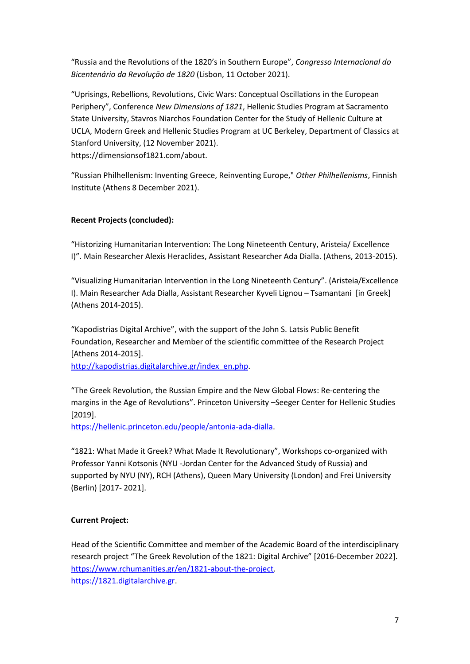"Russia and the Revolutions of the 1820's in Southern Europe", *Congresso Internacional do Bicentenário da Revoluçāo de 1820* (Lisbon, 11 October 2021).

"Uprisings, Rebellions, Revolutions, Civic Wars: Conceptual Oscillations in the European Periphery", Conference *New Dimensions of 1821*, Hellenic Studies Program at Sacramento State University, Stavros Niarchos Foundation Center for the Study of Hellenic Culture at UCLA, Modern Greek and Hellenic Studies Program at UC Berkeley, Department of Classics at Stanford University, (12 November 2021). [https://dimensionsof1821.com/about.](https://dimensionsof1821.com/about/)

"Russian Philhellenism: Inventing Greece, Reinventing Europe," *Other Philhellenisms*, Finnish Institute (Athens 8 December 2021).

# **Recent Projects (concluded):**

"Historizing Humanitarian Intervention: The Long Nineteenth Century, Aristeia/ Excellence Ι)". Main Researcher Alexis Heraclides, Assistant Researcher Ada Dialla. (Athens, 2013-2015).

"Visualizing Humanitarian Intervention in the Long Nineteenth Century". (Aristeia/Excellence Ι). Main Researcher Ada Dialla, Assistant Researcher Kyveli Lignou – Tsamantani [in Greek] (Athens 2014-2015).

"Kapodistrias Digital Archive", with the support of the John S. Latsis Public Benefit Foundation, Researcher and Member of the scientific committee of the Research Project [Athens 2014-2015].

[http://kapodistrias.digitalarchive.gr/index\\_en.php.](http://kapodistrias.digitalarchive.gr/index_en.php)

"The Greek Revolution, the Russian Empire and the New Global Flows: Re-centering the margins in the Age of Revolutions". Princeton University –Seeger Center for Hellenic Studies [2019].

[https://hellenic.princeton.edu/people/antonia-ada-dialla.](https://hellenic.princeton.edu/people/antonia-ada-dialla)

"1821: What Made it Greek? What Made It Revolutionary", Workshops co-organized with Professor Yanni Kotsonis (NYU -Jordan Center for the Advanced Study of Russia) and supported by NYU (NY), RCΗ (Athens), Queen Mary University (London) and Frei University (Berlin) [2017- 2021].

# **Current Project:**

Head of the Scientific Committee and member of the Academic Board of the interdisciplinary research project "The Greek Revolution of the 1821: Digital Archive" [2016-December 2022]. [https://www.rchumanities.gr/en/1821-about-the-project.](https://www.rchumanities.gr/en/1821-about-the-project) [https://1821.digitalarchive.gr.](https://1821.digitalarchive.gr/)